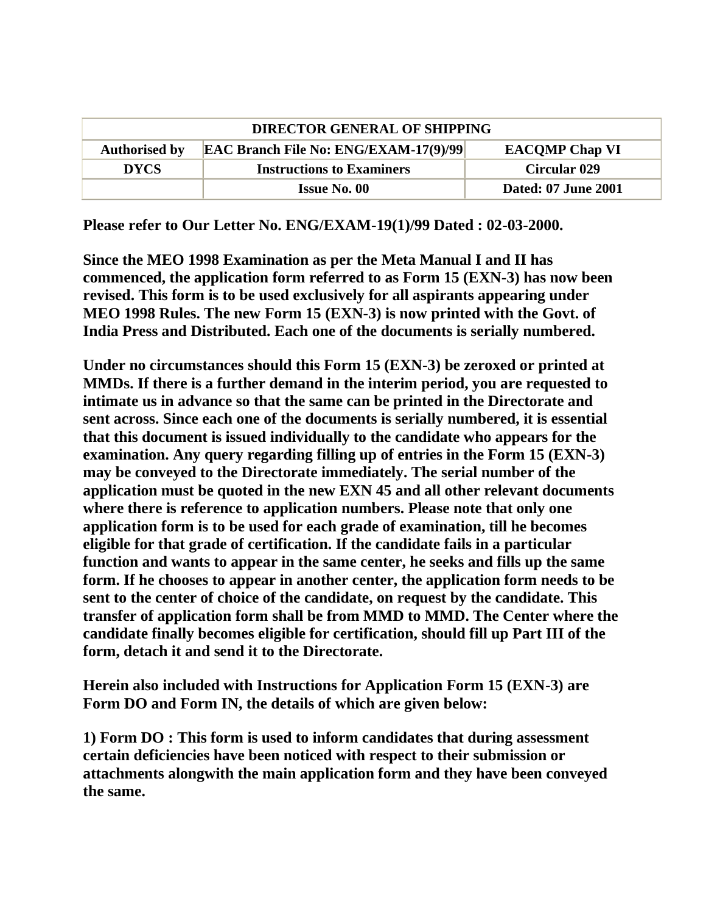| <b>DIRECTOR GENERAL OF SHIPPING</b> |                                              |                            |
|-------------------------------------|----------------------------------------------|----------------------------|
| <b>Authorised by</b>                | <b>EAC Branch File No: ENG/EXAM-17(9)/99</b> | <b>EACOMP Chap VI</b>      |
| <b>DYCS</b>                         | <b>Instructions to Examiners</b>             | <b>Circular 029</b>        |
|                                     | Issue No. 00                                 | <b>Dated: 07 June 2001</b> |

**Please refer to Our Letter No. ENG/EXAM-19(1)/99 Dated : 02-03-2000.**

**Since the MEO 1998 Examination as per the Meta Manual I and II has commenced, the application form referred to as Form 15 (EXN-3) has now been revised. This form is to be used exclusively for all aspirants appearing under MEO 1998 Rules. The new Form 15 (EXN-3) is now printed with the Govt. of India Press and Distributed. Each one of the documents is serially numbered.**

**Under no circumstances should this Form 15 (EXN-3) be zeroxed or printed at MMDs. If there is a further demand in the interim period, you are requested to intimate us in advance so that the same can be printed in the Directorate and sent across. Since each one of the documents is serially numbered, it is essential that this document is issued individually to the candidate who appears for the examination. Any query regarding filling up of entries in the Form 15 (EXN-3) may be conveyed to the Directorate immediately. The serial number of the application must be quoted in the new EXN 45 and all other relevant documents where there is reference to application numbers. Please note that only one application form is to be used for each grade of examination, till he becomes eligible for that grade of certification. If the candidate fails in a particular function and wants to appear in the same center, he seeks and fills up the same form. If he chooses to appear in another center, the application form needs to be sent to the center of choice of the candidate, on request by the candidate. This transfer of application form shall be from MMD to MMD. The Center where the candidate finally becomes eligible for certification, should fill up Part III of the form, detach it and send it to the Directorate.**

**Herein also included with Instructions for Application Form 15 (EXN-3) are Form DO and Form IN, the details of which are given below:**

**1) Form DO : This form is used to inform candidates that during assessment certain deficiencies have been noticed with respect to their submission or attachments alongwith the main application form and they have been conveyed the same.**